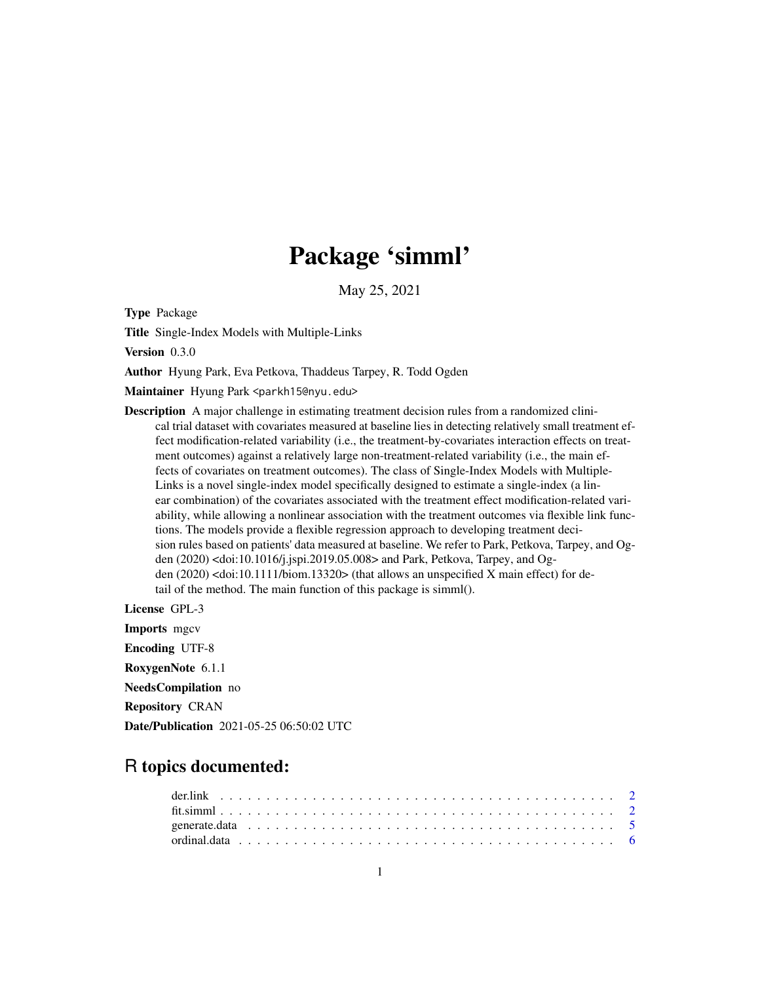# Package 'simml'

May 25, 2021

Type Package

Title Single-Index Models with Multiple-Links

Version 0.3.0

Author Hyung Park, Eva Petkova, Thaddeus Tarpey, R. Todd Ogden

Maintainer Hyung Park <parkh15@nyu.edu>

Description A major challenge in estimating treatment decision rules from a randomized clinical trial dataset with covariates measured at baseline lies in detecting relatively small treatment effect modification-related variability (i.e., the treatment-by-covariates interaction effects on treatment outcomes) against a relatively large non-treatment-related variability (i.e., the main effects of covariates on treatment outcomes). The class of Single-Index Models with Multiple-Links is a novel single-index model specifically designed to estimate a single-index (a linear combination) of the covariates associated with the treatment effect modification-related variability, while allowing a nonlinear association with the treatment outcomes via flexible link functions. The models provide a flexible regression approach to developing treatment decision rules based on patients' data measured at baseline. We refer to Park, Petkova, Tarpey, and Ogden (2020) <doi:10.1016/j.jspi.2019.05.008> and Park, Petkova, Tarpey, and Ogden (2020) <doi:10.1111/biom.13320> (that allows an unspecified X main effect) for detail of the method. The main function of this package is simml().

License GPL-3 Imports mgcv Encoding UTF-8 RoxygenNote 6.1.1 NeedsCompilation no Repository CRAN Date/Publication 2021-05-25 06:50:02 UTC

## R topics documented: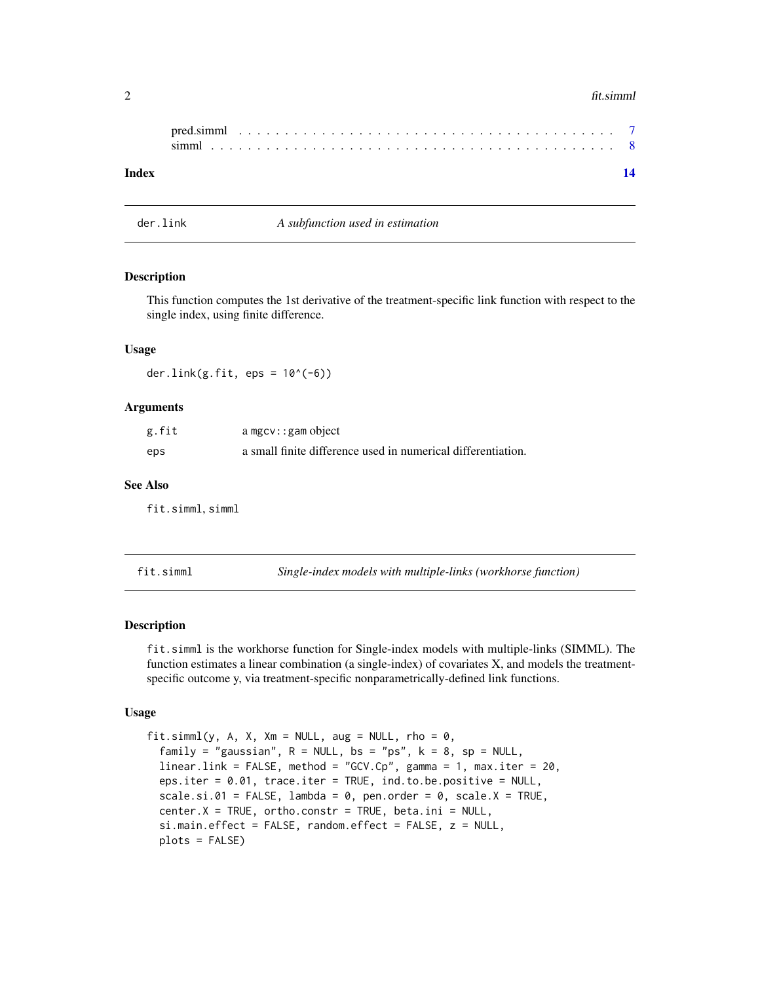#### <span id="page-1-0"></span>2 fit.simml

| Index |  |  |  |  |  |  |  |  |  |  |  |  |  |  |  |  |  |  |  |
|-------|--|--|--|--|--|--|--|--|--|--|--|--|--|--|--|--|--|--|--|

der.link *A subfunction used in estimation*

#### Description

This function computes the 1st derivative of the treatment-specific link function with respect to the single index, using finite difference.

#### Usage

der.link $(g.fit, eps = 10^(-6))$ 

#### Arguments

| g.fit | $a$ mgc $v$ : : gam object                                   |
|-------|--------------------------------------------------------------|
| eps   | a small finite difference used in numerical differentiation. |

#### See Also

fit.simml, simml

fit.simml *Single-index models with multiple-links (workhorse function)*

#### Description

fit.simml is the workhorse function for Single-index models with multiple-links (SIMML). The function estimates a linear combination (a single-index) of covariates X, and models the treatmentspecific outcome y, via treatment-specific nonparametrically-defined link functions.

#### Usage

fit.simml(y, A, X, Xm = NULL, aug = NULL, rho =  $0$ , family = "gaussian",  $R = NULL$ ,  $bs = "ps"$ ,  $k = 8$ ,  $sp = NULL$ , linear.link = FALSE, method = "GCV.Cp", gamma = 1, max.iter = 20, eps.iter = 0.01, trace.iter = TRUE, ind.to.be.positive = NULL,  $scale.isi.01 = FALSE, lambda = 0, pen.order = 0, scale.X = TRUE,$  $center.X = TRUE, ortho. constr = TRUE, beta.ini = NULL,$ si.main.effect = FALSE, random.effect = FALSE, z = NULL, plots = FALSE)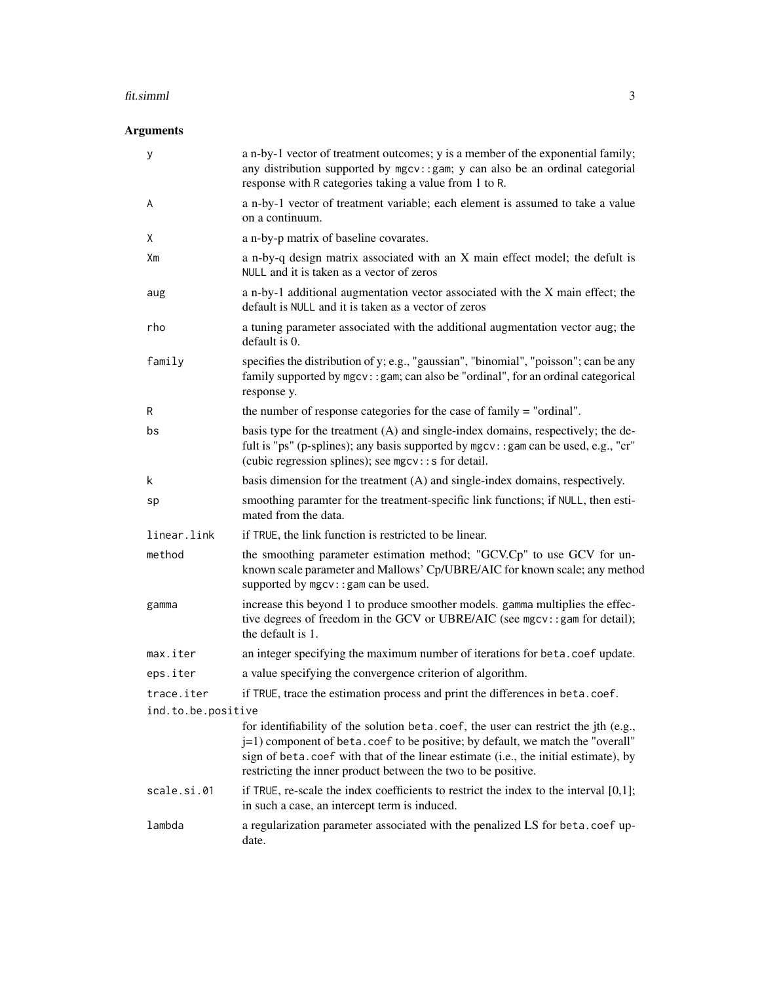#### fit.simml 3

### Arguments

| у                  | a n-by-1 vector of treatment outcomes; y is a member of the exponential family;<br>any distribution supported by mgcv:: gam; y can also be an ordinal categorial<br>response with R categories taking a value from 1 to R.                                                                                                     |
|--------------------|--------------------------------------------------------------------------------------------------------------------------------------------------------------------------------------------------------------------------------------------------------------------------------------------------------------------------------|
| A                  | a n-by-1 vector of treatment variable; each element is assumed to take a value<br>on a continuum.                                                                                                                                                                                                                              |
| Χ                  | a n-by-p matrix of baseline covarates.                                                                                                                                                                                                                                                                                         |
| Хm                 | a n-by-q design matrix associated with an X main effect model; the defult is<br>NULL and it is taken as a vector of zeros                                                                                                                                                                                                      |
| aug                | a n-by-1 additional augmentation vector associated with the X main effect; the<br>default is NULL and it is taken as a vector of zeros                                                                                                                                                                                         |
| rho                | a tuning parameter associated with the additional augmentation vector aug; the<br>default is 0.                                                                                                                                                                                                                                |
| family             | specifies the distribution of y; e.g., "gaussian", "binomial", "poisson"; can be any<br>family supported by mgcv:: gam; can also be "ordinal", for an ordinal categorical<br>response y.                                                                                                                                       |
| R                  | the number of response categories for the case of family = "ordinal".                                                                                                                                                                                                                                                          |
| bs                 | basis type for the treatment (A) and single-index domains, respectively; the de-<br>fult is "ps" (p-splines); any basis supported by mgcv:: gam can be used, e.g., "cr"<br>(cubic regression splines); see $mgcv$ : : s for detail.                                                                                            |
| k                  | basis dimension for the treatment (A) and single-index domains, respectively.                                                                                                                                                                                                                                                  |
| sp                 | smoothing paramter for the treatment-specific link functions; if NULL, then esti-<br>mated from the data.                                                                                                                                                                                                                      |
| linear.link        | if TRUE, the link function is restricted to be linear.                                                                                                                                                                                                                                                                         |
| method             | the smoothing parameter estimation method; "GCV.Cp" to use GCV for un-<br>known scale parameter and Mallows' Cp/UBRE/AIC for known scale; any method<br>supported by mgcv: : gam can be used.                                                                                                                                  |
| gamma              | increase this beyond 1 to produce smoother models. gamma multiplies the effec-<br>tive degrees of freedom in the GCV or UBRE/AIC (see mgcv::gam for detail);<br>the default is 1.                                                                                                                                              |
| max.iter           | an integer specifying the maximum number of iterations for beta.coef update.                                                                                                                                                                                                                                                   |
| eps.iter           | a value specifying the convergence criterion of algorithm.                                                                                                                                                                                                                                                                     |
| trace.iter         | if TRUE, trace the estimation process and print the differences in beta.coef.                                                                                                                                                                                                                                                  |
| ind.to.be.positive |                                                                                                                                                                                                                                                                                                                                |
|                    | for identifiability of the solution beta.coef, the user can restrict the jth (e.g.,<br>j=1) component of beta. coef to be positive; by default, we match the "overall"<br>sign of beta.coef with that of the linear estimate (i.e., the initial estimate), by<br>restricting the inner product between the two to be positive. |
| scale.si.01        | if TRUE, re-scale the index coefficients to restrict the index to the interval $[0,1]$ ;<br>in such a case, an intercept term is induced.                                                                                                                                                                                      |
| lambda             | a regularization parameter associated with the penalized LS for beta.coef up-<br>date.                                                                                                                                                                                                                                         |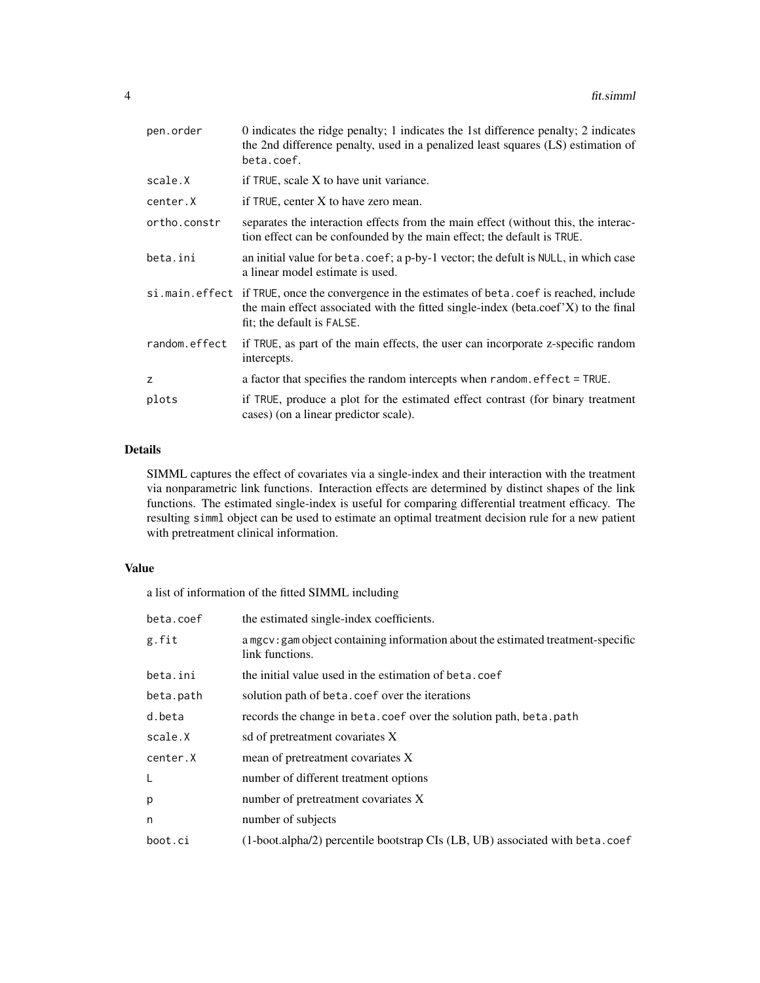| pen.order     | 0 indicates the ridge penalty; 1 indicates the 1st difference penalty; 2 indicates<br>the 2nd difference penalty, used in a penalized least squares (LS) estimation of<br>beta.coef.                               |
|---------------|--------------------------------------------------------------------------------------------------------------------------------------------------------------------------------------------------------------------|
| scale.X       | if TRUE, scale X to have unit variance.                                                                                                                                                                            |
| center.X      | if TRUE, center X to have zero mean.                                                                                                                                                                               |
| ortho.constr  | separates the interaction effects from the main effect (without this, the interac-<br>tion effect can be confounded by the main effect; the default is TRUE.                                                       |
| beta.ini      | an initial value for beta.coef; a p-by-1 vector; the defult is NULL, in which case<br>a linear model estimate is used.                                                                                             |
|               | si.main.effect if TRUE, once the convergence in the estimates of beta.coef is reached, include<br>the main effect associated with the fitted single-index (beta.coef'X) to the final<br>fit; the default is FALSE. |
| random.effect | if TRUE, as part of the main effects, the user can incorporate z-specific random<br>intercepts.                                                                                                                    |
| z             | a factor that specifies the random intercepts when random. effect = TRUE.                                                                                                                                          |
| plots         | if TRUE, produce a plot for the estimated effect contrast (for binary treatment<br>cases) (on a linear predictor scale).                                                                                           |

#### Details

SIMML captures the effect of covariates via a single-index and their interaction with the treatment via nonparametric link functions. Interaction effects are determined by distinct shapes of the link functions. The estimated single-index is useful for comparing differential treatment efficacy. The resulting simml object can be used to estimate an optimal treatment decision rule for a new patient with pretreatment clinical information.

#### Value

a list of information of the fitted SIMML including

| beta.coef | the estimated single-index coefficients.                                                            |
|-----------|-----------------------------------------------------------------------------------------------------|
| g.fit     | a mgcv: gam object containing information about the estimated treatment-specific<br>link functions. |
| beta.ini  | the initial value used in the estimation of beta.coef                                               |
| beta.path | solution path of beta.coef over the iterations                                                      |
| d.beta    | records the change in beta.coef over the solution path, beta.path                                   |
| scale.X   | sd of pretreatment covariates X                                                                     |
| center.X  | mean of pretreatment covariates X                                                                   |
| L         | number of different treatment options                                                               |
| p         | number of pretreatment covariates X                                                                 |
| n         | number of subjects                                                                                  |
| boot.ci   | $(1-boot. alpha/2)$ percentile bootstrap CIs $(LB, UB)$ associated with beta.coef                   |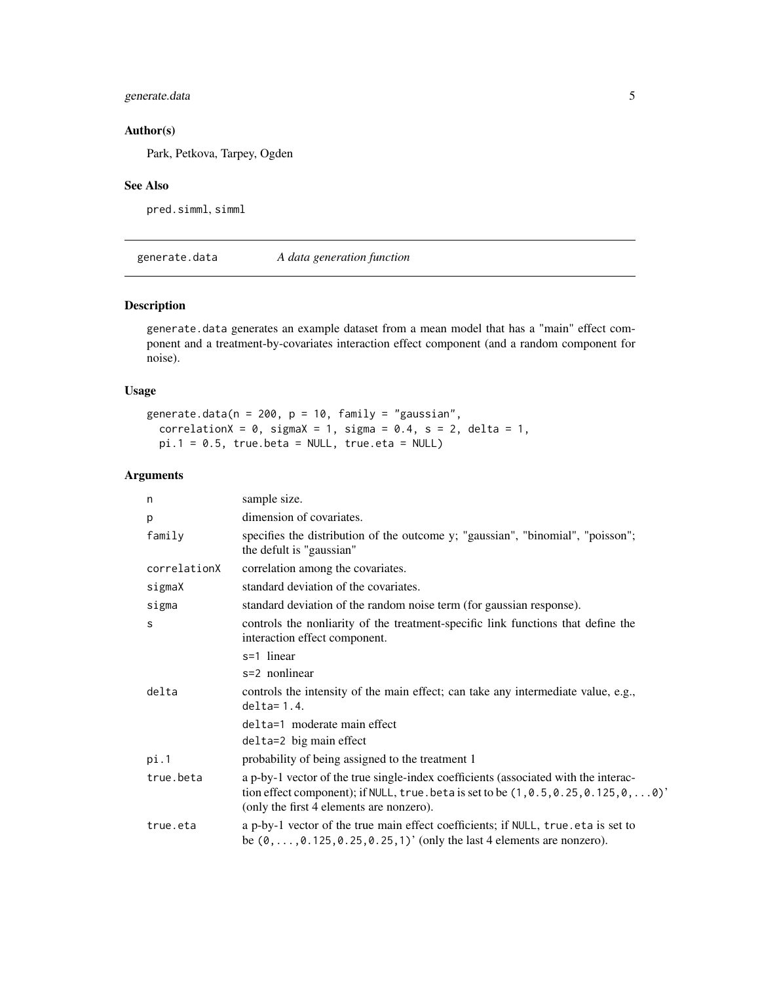#### <span id="page-4-0"></span>generate.data 5

#### Author(s)

Park, Petkova, Tarpey, Ogden

#### See Also

pred.simml, simml

generate.data *A data generation function*

#### Description

generate.data generates an example dataset from a mean model that has a "main" effect component and a treatment-by-covariates interaction effect component (and a random component for noise).

#### Usage

```
generate.data(n = 200, p = 10, family = "gaussian",
  correlationX = 0, sigmaX = 1, sigma = 0.4, s = 2, delta = 1,
 pi.1 = 0.5, true.beta = NULL, true.eta = NULL)
```
#### Arguments

| n            | sample size.                                                                                                                                                                                                                      |
|--------------|-----------------------------------------------------------------------------------------------------------------------------------------------------------------------------------------------------------------------------------|
| p            | dimension of covariates.                                                                                                                                                                                                          |
| family       | specifies the distribution of the outcome y; "gaussian", "binomial", "poisson";<br>the defult is "gaussian"                                                                                                                       |
| correlationX | correlation among the covariates.                                                                                                                                                                                                 |
| sigmaX       | standard deviation of the covariates.                                                                                                                                                                                             |
| sigma        | standard deviation of the random noise term (for gaussian response).                                                                                                                                                              |
| S            | controls the nonliarity of the treatment-specific link functions that define the<br>interaction effect component.                                                                                                                 |
|              | s=1 linear                                                                                                                                                                                                                        |
|              | s=2 nonlinear                                                                                                                                                                                                                     |
| delta        | controls the intensity of the main effect; can take any intermediate value, e.g.,<br>$delta=1.4$ .                                                                                                                                |
|              | delta=1 moderate main effect                                                                                                                                                                                                      |
|              | delta=2 big main effect                                                                                                                                                                                                           |
| pi.1         | probability of being assigned to the treatment 1                                                                                                                                                                                  |
| true.beta    | a p-by-1 vector of the true single-index coefficients (associated with the interac-<br>tion effect component); if NULL, true. beta is set to be $(1, 0.5, 0.25, 0.125, 0, \ldots 0)'$<br>(only the first 4 elements are nonzero). |
| true.eta     | a p-by-1 vector of the true main effect coefficients; if NULL, true eta is set to<br>be $(0, \ldots, 0.125, 0.25, 0.25, 1)'$ (only the last 4 elements are nonzero).                                                              |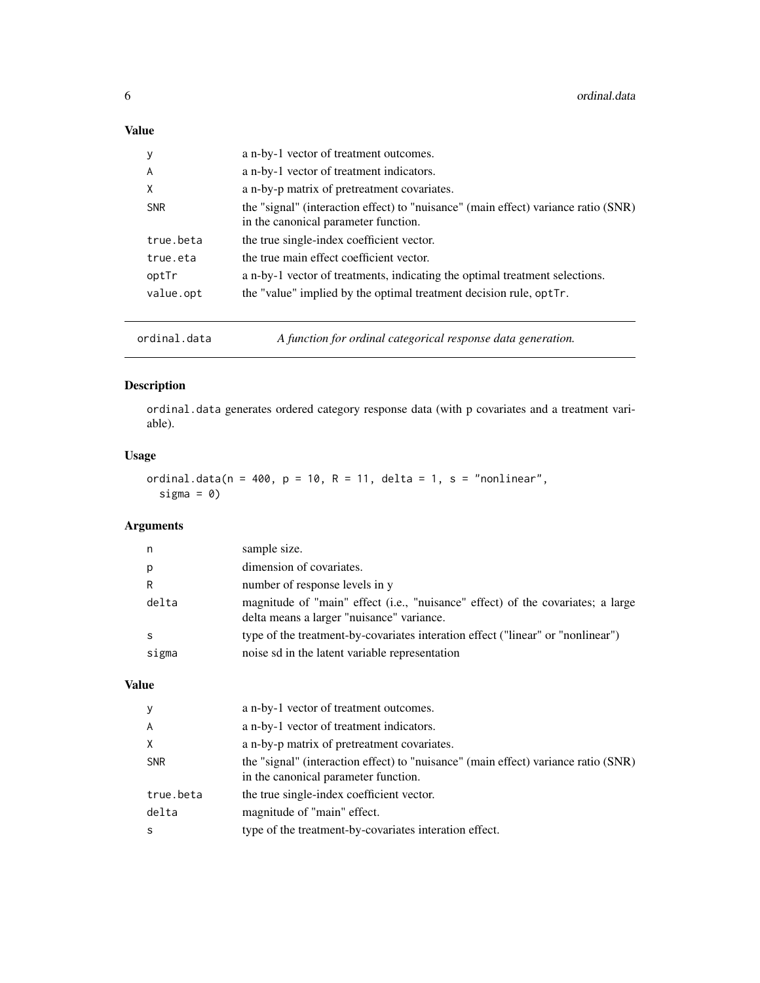#### <span id="page-5-0"></span>Value

| y          | a n-by-1 vector of treatment outcomes.                                                                                     |
|------------|----------------------------------------------------------------------------------------------------------------------------|
| A          | a n-by-1 vector of treatment indicators.                                                                                   |
| X          | a n-by-p matrix of pretreatment covariates.                                                                                |
| <b>SNR</b> | the "signal" (interaction effect) to "nuisance" (main effect) variance ratio (SNR)<br>in the canonical parameter function. |
| true.beta  | the true single-index coefficient vector.                                                                                  |
| true.eta   | the true main effect coefficient vector.                                                                                   |
| optTr      | a n-by-1 vector of treatments, indicating the optimal treatment selections.                                                |
| value.opt  | the "value" implied by the optimal treatment decision rule, optTr.                                                         |
|            |                                                                                                                            |

ordinal.data *A function for ordinal categorical response data generation.*

#### Description

ordinal.data generates ordered category response data (with p covariates and a treatment variable).

#### Usage

```
ordinal.data(n = 400, p = 10, R = 11, delta = 1, s = "nonlinear",
  sigma = 0)
```
#### Arguments

| n     | sample size.                                                                                                                 |
|-------|------------------------------------------------------------------------------------------------------------------------------|
| p     | dimension of covariates.                                                                                                     |
| R     | number of response levels in y                                                                                               |
| delta | magnitude of "main" effect (i.e., "nuisance" effect) of the covariates; a large<br>delta means a larger "nuisance" variance. |
| -S    | type of the treatment-by-covariates interation effect ("linear" or "nonlinear")                                              |
| sigma | noise sd in the latent variable representation                                                                               |

#### Value

| y              | a n-by-1 vector of treatment outcomes.                                                                                     |
|----------------|----------------------------------------------------------------------------------------------------------------------------|
| $\overline{A}$ | a n-by-1 vector of treatment indicators.                                                                                   |
| X              | a n-by-p matrix of pretreatment covariates.                                                                                |
| <b>SNR</b>     | the "signal" (interaction effect) to "nuisance" (main effect) variance ratio (SNR)<br>in the canonical parameter function. |
| true.beta      | the true single-index coefficient vector.                                                                                  |
| delta          | magnitude of "main" effect.                                                                                                |
| -S             | type of the treatment-by-covariates interation effect.                                                                     |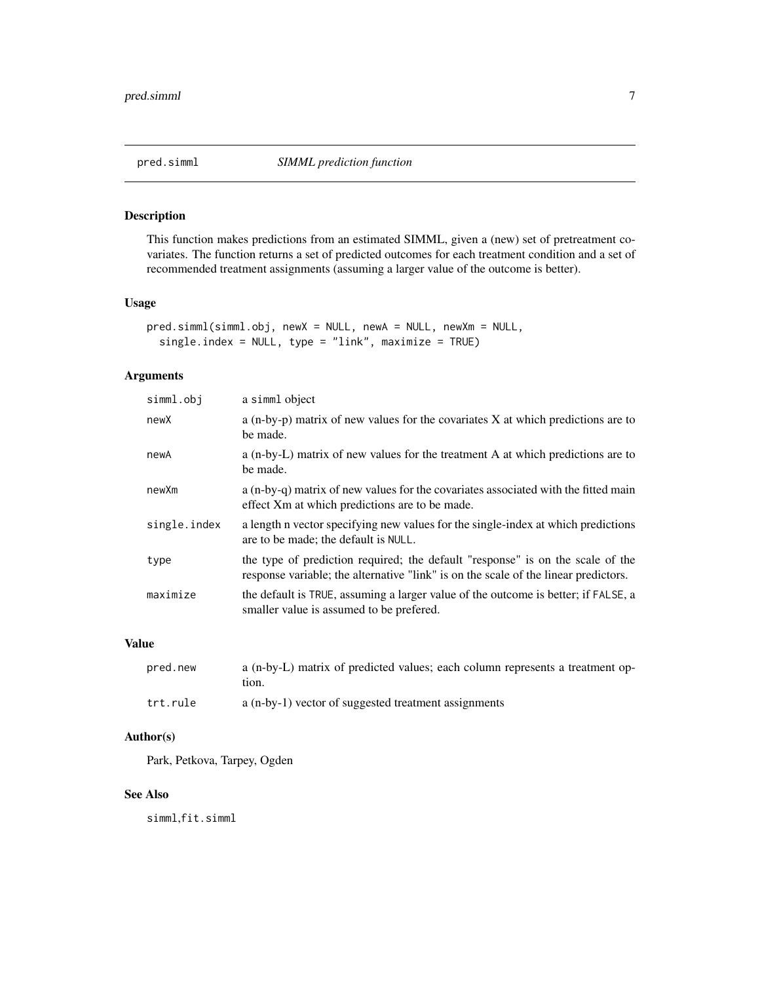<span id="page-6-0"></span>

#### Description

This function makes predictions from an estimated SIMML, given a (new) set of pretreatment covariates. The function returns a set of predicted outcomes for each treatment condition and a set of recommended treatment assignments (assuming a larger value of the outcome is better).

#### Usage

```
pred.simml(simml.obj, newX = NULL, newA = NULL, newXm = NULL,
  single.index = NULL, type = "link", maximize = TRUE)
```
#### Arguments

| simml.obj    | a simml object                                                                                                                                                        |
|--------------|-----------------------------------------------------------------------------------------------------------------------------------------------------------------------|
| newX         | a $(n-by-p)$ matrix of new values for the covariates X at which predictions are to<br>be made.                                                                        |
| newA         | a (n-by-L) matrix of new values for the treatment A at which predictions are to<br>be made.                                                                           |
| newXm        | a (n-by-q) matrix of new values for the covariates associated with the fitted main<br>effect Xm at which predictions are to be made.                                  |
| single.index | a length n vector specifying new values for the single-index at which predictions<br>are to be made; the default is NULL.                                             |
| type         | the type of prediction required; the default "response" is on the scale of the<br>response variable; the alternative "link" is on the scale of the linear predictors. |
| maximize     | the default is TRUE, assuming a larger value of the outcome is better; if FALSE, a<br>smaller value is assumed to be prefered.                                        |

#### Value

| pred.new | a (n-by-L) matrix of predicted values; each column represents a treatment op-<br>tion. |
|----------|----------------------------------------------------------------------------------------|
| trt.rule | a (n-by-1) vector of suggested treatment assignments                                   |

#### Author(s)

Park, Petkova, Tarpey, Ogden

#### See Also

simml,fit.simml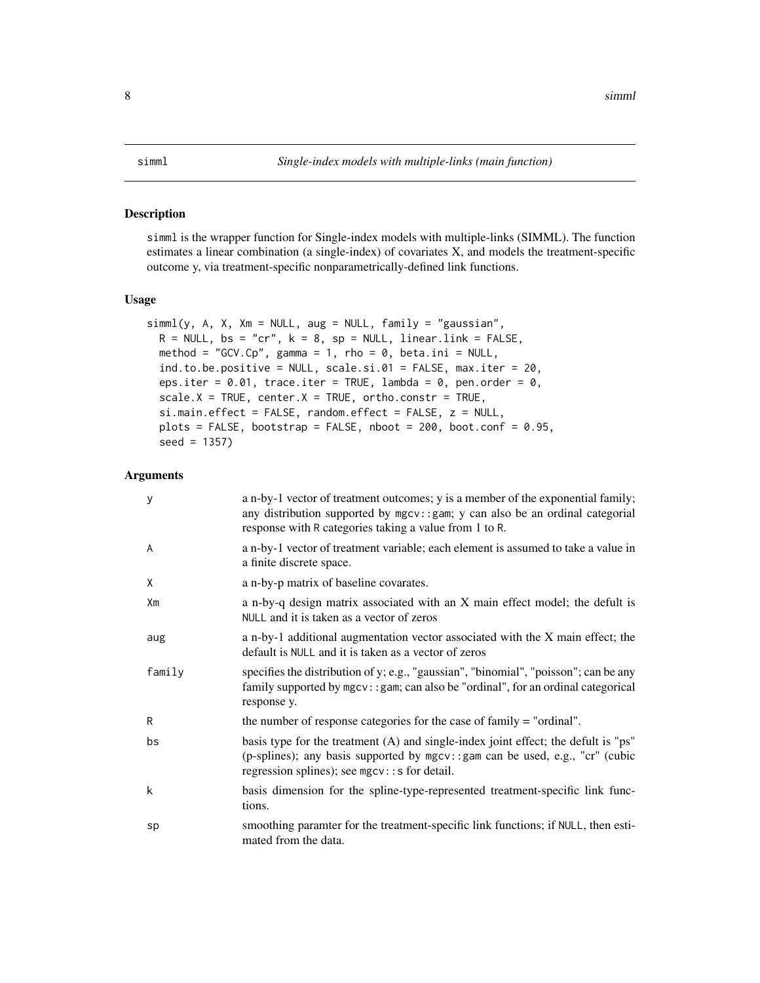#### <span id="page-7-0"></span>Description

simml is the wrapper function for Single-index models with multiple-links (SIMML). The function estimates a linear combination (a single-index) of covariates X, and models the treatment-specific outcome y, via treatment-specific nonparametrically-defined link functions.

#### Usage

```
siml(y, A, X, Xm = NULL, aug = NULL, family = "gaussian",R = NULL, bs = "cr", k = 8, sp = NULL, linear.link = FALSE,
 method = "GCV.Cp", gamma = 1, rho = 0, beta.ini = NULL,
  ind.to.be.positive = NULL, scale.si.01 = FALSE, max.iter = 20,
 eps.iter = 0.01, trace.iter = TRUE, lambda = 0, pen.order = 0,
  scale.X = TRUE, center.X = TRUE, ortho. constr = TRUE,si.main.effect = FALSE, random.effect = FALSE, z = NULL,
 plots = FALSE, bootstrap = FALSE, nboot = 200, boot.conf = 0.95,
  seed = 1357)
```
#### Arguments

| У      | a n-by-1 vector of treatment outcomes; y is a member of the exponential family;<br>any distribution supported by mgcv:: gam; y can also be an ordinal categorial<br>response with R categories taking a value from 1 to R. |
|--------|----------------------------------------------------------------------------------------------------------------------------------------------------------------------------------------------------------------------------|
| A      | a n-by-1 vector of treatment variable; each element is assumed to take a value in<br>a finite discrete space.                                                                                                              |
| χ      | a n-by-p matrix of baseline covarates.                                                                                                                                                                                     |
| Xm     | a n-by-q design matrix associated with an X main effect model; the defult is<br>NULL and it is taken as a vector of zeros                                                                                                  |
| aug    | a n-by-1 additional augmentation vector associated with the X main effect; the<br>default is NULL and it is taken as a vector of zeros                                                                                     |
| family | specifies the distribution of y; e.g., "gaussian", "binomial", "poisson"; can be any<br>family supported by mgcv:: gam; can also be "ordinal", for an ordinal categorical<br>response y.                                   |
| R      | the number of response categories for the case of family = "ordinal".                                                                                                                                                      |
| bs     | basis type for the treatment (A) and single-index joint effect; the defult is "ps"<br>(p-splines); any basis supported by mgcv::gam can be used, e.g., "cr" (cubic<br>regression splines); see mgcv:: s for detail.        |
| k      | basis dimension for the spline-type-represented treatment-specific link func-<br>tions.                                                                                                                                    |
| sp     | smoothing paramter for the treatment-specific link functions; if NULL, then esti-<br>mated from the data.                                                                                                                  |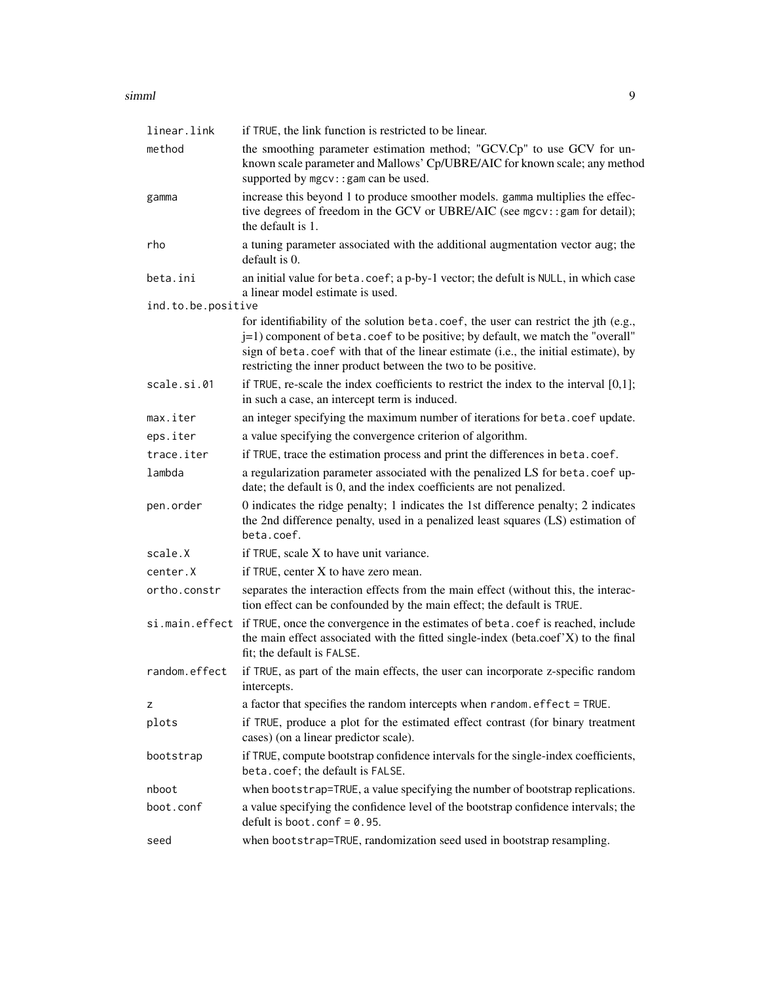#### simml 9

| linear.link        | if TRUE, the link function is restricted to be linear.                                                                                                                                                                                                                                                                         |
|--------------------|--------------------------------------------------------------------------------------------------------------------------------------------------------------------------------------------------------------------------------------------------------------------------------------------------------------------------------|
| method             | the smoothing parameter estimation method; "GCV.Cp" to use GCV for un-<br>known scale parameter and Mallows' Cp/UBRE/AIC for known scale; any method<br>supported by mgcv: : gam can be used.                                                                                                                                  |
| gamma              | increase this beyond 1 to produce smoother models. gamma multiplies the effec-<br>tive degrees of freedom in the GCV or UBRE/AIC (see mgcv::gam for detail);<br>the default is 1.                                                                                                                                              |
| rho                | a tuning parameter associated with the additional augmentation vector aug; the<br>default is 0.                                                                                                                                                                                                                                |
| beta.ini           | an initial value for beta.coef; a p-by-1 vector; the defult is NULL, in which case<br>a linear model estimate is used.                                                                                                                                                                                                         |
| ind.to.be.positive |                                                                                                                                                                                                                                                                                                                                |
|                    | for identifiability of the solution beta.coef, the user can restrict the jth (e.g.,<br>j=1) component of beta. coef to be positive; by default, we match the "overall"<br>sign of beta.coef with that of the linear estimate (i.e., the initial estimate), by<br>restricting the inner product between the two to be positive. |
| scale.si.01        | if TRUE, re-scale the index coefficients to restrict the index to the interval $[0,1]$ ;<br>in such a case, an intercept term is induced.                                                                                                                                                                                      |
| max.iter           | an integer specifying the maximum number of iterations for beta.coef update.                                                                                                                                                                                                                                                   |
| eps.iter           | a value specifying the convergence criterion of algorithm.                                                                                                                                                                                                                                                                     |
| trace.iter         | if TRUE, trace the estimation process and print the differences in beta.coef.                                                                                                                                                                                                                                                  |
| lambda             | a regularization parameter associated with the penalized LS for beta.coef up-<br>date; the default is 0, and the index coefficients are not penalized.                                                                                                                                                                         |
| pen.order          | 0 indicates the ridge penalty; 1 indicates the 1st difference penalty; 2 indicates<br>the 2nd difference penalty, used in a penalized least squares (LS) estimation of<br>beta.coef.                                                                                                                                           |
| scale.X            | if TRUE, scale X to have unit variance.                                                                                                                                                                                                                                                                                        |
| center.X           | if TRUE, center X to have zero mean.                                                                                                                                                                                                                                                                                           |
| ortho.constr       | separates the interaction effects from the main effect (without this, the interac-<br>tion effect can be confounded by the main effect; the default is TRUE.                                                                                                                                                                   |
|                    | si.main.effect if TRUE, once the convergence in the estimates of beta.coef is reached, include<br>the main effect associated with the fitted single-index (beta.coef'X) to the final<br>fit; the default is FALSE.                                                                                                             |
| random.effect      | if TRUE, as part of the main effects, the user can incorporate z-specific random<br>intercepts.                                                                                                                                                                                                                                |
| z                  | a factor that specifies the random intercepts when random. effect = TRUE.                                                                                                                                                                                                                                                      |
| plots              | if TRUE, produce a plot for the estimated effect contrast (for binary treatment<br>cases) (on a linear predictor scale).                                                                                                                                                                                                       |
| bootstrap          | if TRUE, compute bootstrap confidence intervals for the single-index coefficients,<br>beta.coef; the default is FALSE.                                                                                                                                                                                                         |
| nboot              | when bootstrap=TRUE, a value specifying the number of bootstrap replications.                                                                                                                                                                                                                                                  |
| boot.conf          | a value specifying the confidence level of the bootstrap confidence intervals; the<br>defult is boot. $\text{conf} = \emptyset$ . 95.                                                                                                                                                                                          |
| seed               | when bootstrap=TRUE, randomization seed used in bootstrap resampling.                                                                                                                                                                                                                                                          |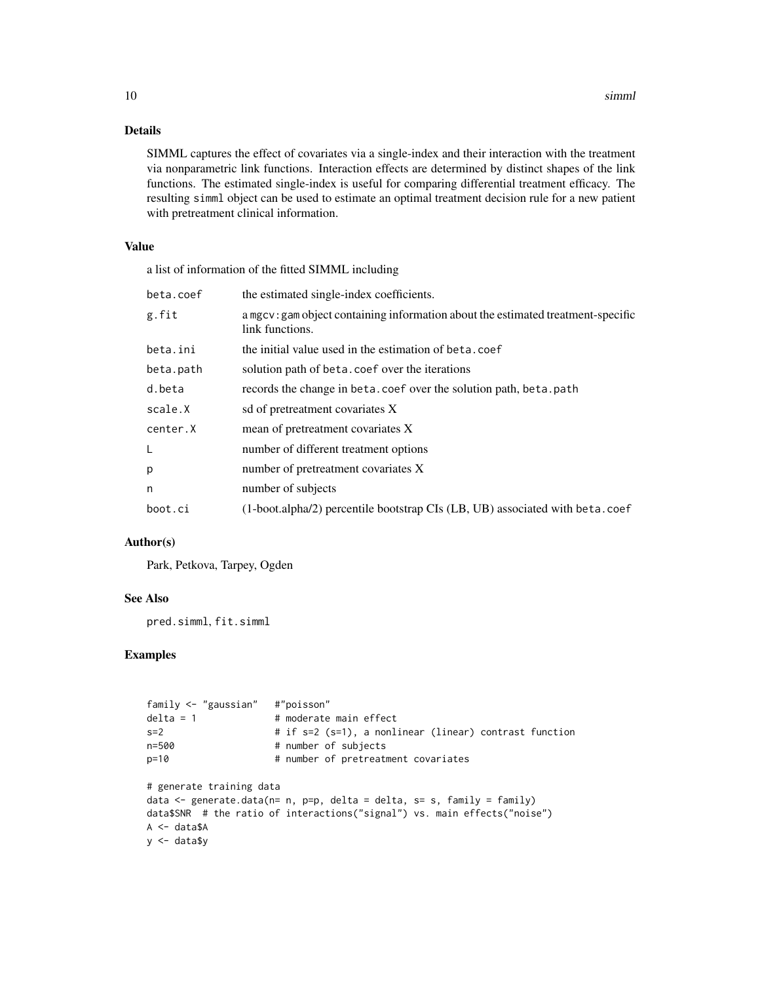#### Details

SIMML captures the effect of covariates via a single-index and their interaction with the treatment via nonparametric link functions. Interaction effects are determined by distinct shapes of the link functions. The estimated single-index is useful for comparing differential treatment efficacy. The resulting simml object can be used to estimate an optimal treatment decision rule for a new patient with pretreatment clinical information.

#### Value

a list of information of the fitted SIMML including

| beta.coef | the estimated single-index coefficients.                                                            |
|-----------|-----------------------------------------------------------------------------------------------------|
| g.fit     | a mgcv: gam object containing information about the estimated treatment-specific<br>link functions. |
| beta.ini  | the initial value used in the estimation of beta.coef                                               |
| beta.path | solution path of beta. coef over the iterations                                                     |
| d.beta    | records the change in beta.coef over the solution path, beta.path                                   |
| scale.X   | sd of pretreatment covariates X                                                                     |
| center.X  | mean of pretreatment covariates X                                                                   |
| L         | number of different treatment options                                                               |
| p         | number of pretreatment covariates X                                                                 |
| n         | number of subjects                                                                                  |
| boot.ci   | $(1-boot. alpha/2)$ percentile bootstrap CIs $(LB, UB)$ associated with beta.coef                   |
|           |                                                                                                     |

#### Author(s)

Park, Petkova, Tarpey, Ogden

#### See Also

pred.simml, fit.simml

#### Examples

```
family <- "gaussian" #"poisson"
delta = 1 # moderate main effect
s=2 # if s=2 (s=1), a nonlinear (linear) contrast function
n=500 # number of subjects
p=10 # number of pretreatment covariates
# generate training data
data \leq generate.data(n= n, p=p, delta = delta, s= s, family = family)
data$SNR # the ratio of interactions("signal") vs. main effects("noise")
A <- data$A
y <- data$y
```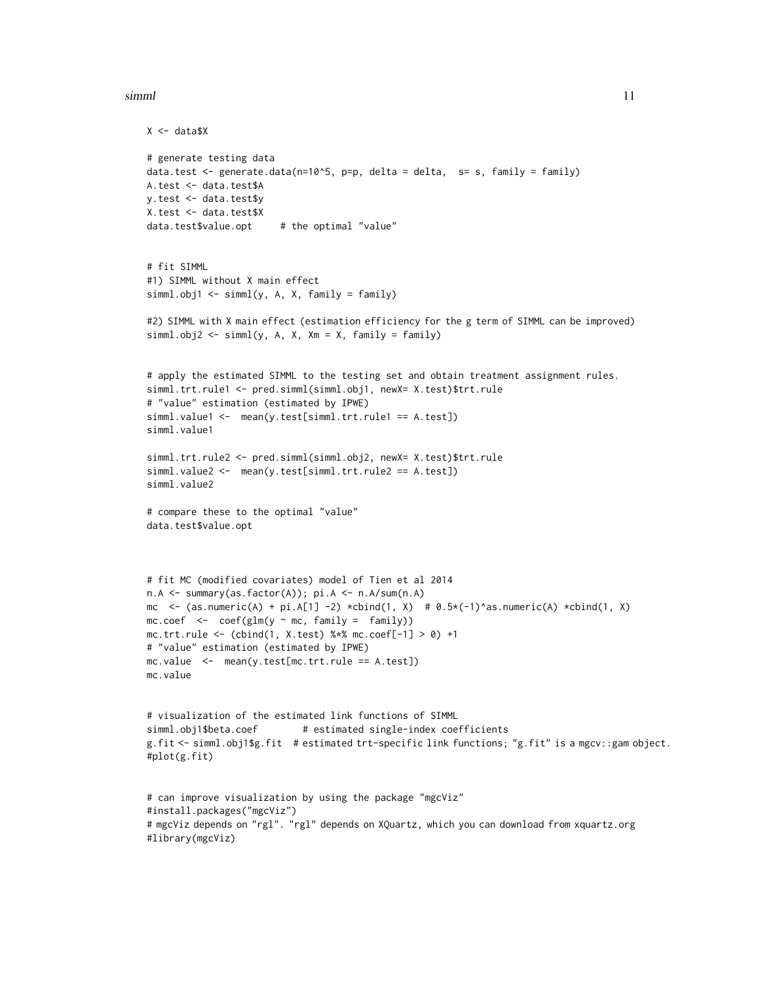#### simml and the state of the state of the state of the state of the state of the state of the state of the state of the state of the state of the state of the state of the state of the state of the state of the state of the

```
X \leftarrow data $X# generate testing data
data.test \leq generate.data(n=10^5, p=p, delta = delta, s= s, family = family)
A.test <- data.test$A
y.test <- data.test$y
X.test <- data.test$X
data.test$value.opt # the optimal "value"
# fit SIMML
#1) SIMML without X main effect
siml.obj1 \leq simml(y, A, X, family = family)#2) SIMML with X main effect (estimation efficiency for the g term of SIMML can be improved)
simml.obj2 <- simml(y, A, X, Xm = X, family = family)
# apply the estimated SIMML to the testing set and obtain treatment assignment rules.
simml.trt.rule1 <- pred.simml(simml.obj1, newX= X.test)$trt.rule
# "value" estimation (estimated by IPWE)
simml.value1 <- mean(y.test[simml.trt.rule1 == A.test])
simml.value1
simml.trt.rule2 <- pred.simml(simml.obj2, newX= X.test)$trt.rule
simml.value2 <- mean(y.test[simml.trt.rule2 == A.test])
simml.value2
# compare these to the optimal "value"
data.test$value.opt
# fit MC (modified covariates) model of Tien et al 2014
n.A <- summary(as.factor(A)); pi.A <- n.A/sum(n.A)
mc <- (as.numeric(A) + pi.A[1] -2) *cbind(1, X) # 0.5*(-1)^*as.numeric(A) *cbind(1, X)
mc.coef \leftarrow coef(glm(y \sim mc, family = family))mc.trt.rule <- (cbind(1, X.test) %*% mc.coef[-1] > 0) +1
# "value" estimation (estimated by IPWE)
mc.value <- mean(y.test[mc.trt.rule == A.test])
mc.value
# visualization of the estimated link functions of SIMML
simml.obj1$beta.coef # estimated single-index coefficients
g.fit <- simml.obj1$g.fit # estimated trt-specific link functions; "g.fit" is a mgcv::gam object.
#plot(g.fit)
# can improve visualization by using the package "mgcViz"
#install.packages("mgcViz")
# mgcViz depends on "rgl". "rgl" depends on XQuartz, which you can download from xquartz.org
#library(mgcViz)
```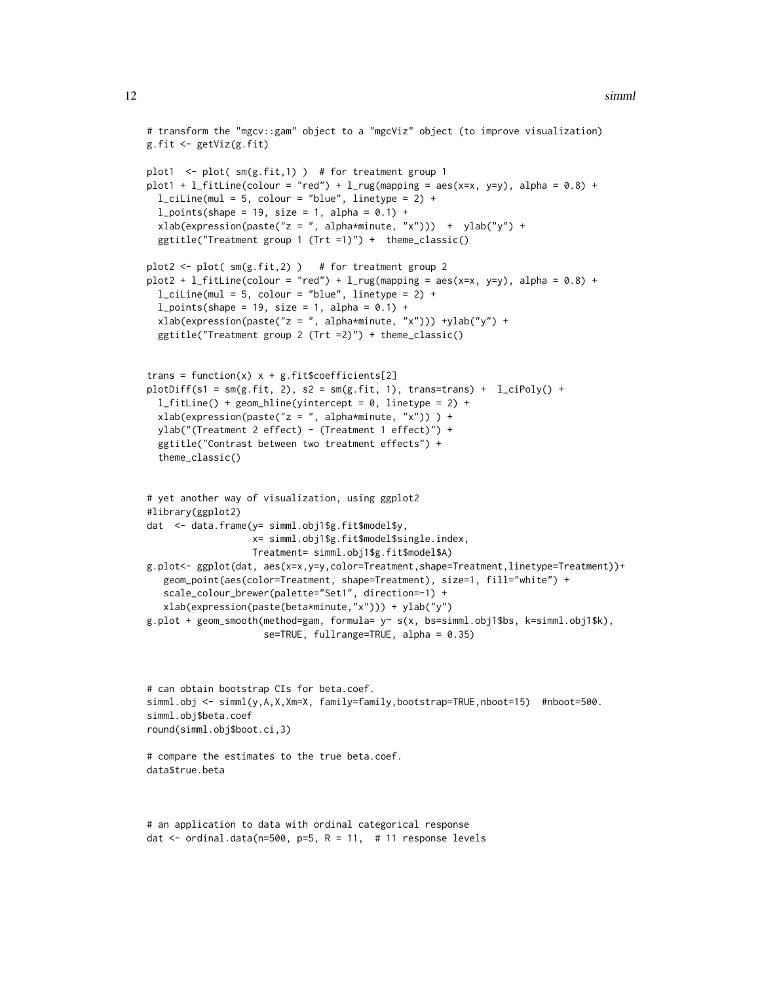```
# transform the "mgcv::gam" object to a "mgcViz" object (to improve visualization)
g.fit <- getViz(g.fit)
plot1 \le plot( sm(g.fit,1) ) # for treatment group 1
plot1 + l_fitLine(colour = "red") + l_fug(mapping = aes(x=x, y=y), alpha = 0.8) +
 l<sub>ciline</sub>(mul = 5, colour = "blue", linetype = 2) +
 l\_points(shape = 19, size = 1, alpha = 0.1) +xlab(expression(paste("z = ", alpha*minute, "x"))) + ylab("y") +
 ggtitle("Treatment group 1 (Trt =1)") + theme_classic()
plot2 < -plot( sm(g.fit, 2)) # for treatment group 2
plot2 + l_fitLine(colour = "red") + l_rug(mapping = aes(x=x, y=y), alpha = 0.8) +
 l<sub>ciline</sub>(mul = 5, colour = "blue", linetype = 2) +
 l\_points(shape = 19, size = 1, alpha = 0.1) +xlab(expression(paste("z = ", alpha*minute, "x"))) +ylab("y") +
 ggtitle("Treatment group 2 (Trt =2)") + theme_classic()
trans = function(x) x + g. fit$coefficients[2]
plotDiff(s1 = \text{sm}(g, fit, 2), s2 = \text{sm}(g, fit, 1), trans=trans) + l_cipoly() +
 l_fitLine() + geom_hline(yintercept = 0, linetype = 2) +
 xlab(expression(paste("z = ", alpha*minute, "x")) ) +ylab("(Treatment 2 effect) - (Treatment 1 effect)") +
 ggtitle("Contrast between two treatment effects") +
 theme_classic()
# yet another way of visualization, using ggplot2
#library(ggplot2)
dat <- data.frame(y= simml.obj1$g.fit$model$y,
                   x= simml.obj1$g.fit$model$single.index,
                   Treatment= simml.obj1$g.fit$model$A)
g.plot<- ggplot(dat, aes(x=x,y=y,color=Treatment,shape=Treatment,linetype=Treatment))+
  geom_point(aes(color=Treatment, shape=Treatment), size=1, fill="white") +
   scale_colour_brewer(palette="Set1", direction=-1) +
   xlab(expression(paste(beta*minute,"x"))) + ylab("y")
g.plot + geom_smooth(method=gam, formula= y \sim s(x, bs = \text{sim}1.obj1$bs, k=simml.obj1$k),
                     se=TRUE, fullrange=TRUE, alpha = 0.35)
# can obtain bootstrap CIs for beta.coef.
```

```
simml.obj <- simml(y,A,X,Xm=X, family=family,bootstrap=TRUE,nboot=15) #nboot=500.
simml.obj$beta.coef
round(simml.obj$boot.ci,3)
```
# compare the estimates to the true beta.coef. data\$true.beta

```
# an application to data with ordinal categorical response
dat \le ordinal.data(n=500, p=5, R = 11, # 11 response levels
```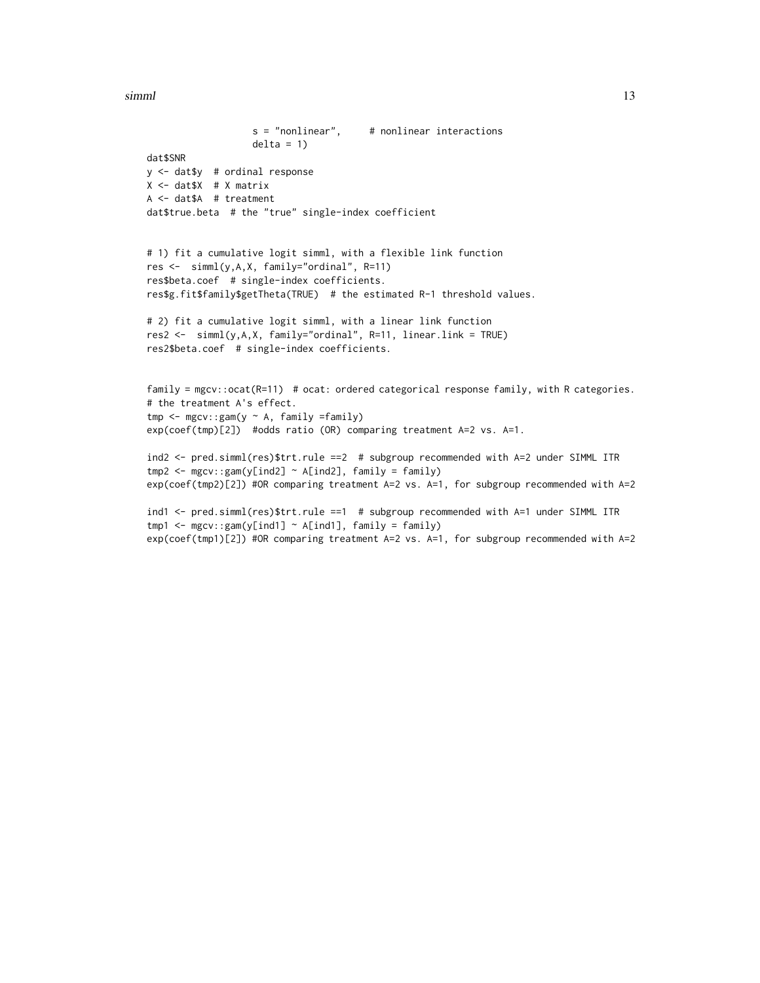simml and the contract of the contract of the contract of the contract of the contract of the contract of the contract of the contract of the contract of the contract of the contract of the contract of the contract of the

```
s = "nonlinear", # nonlinear interestionsdelta = 1)
dat$SNR
y <- dat$y # ordinal response
X <- dat$X # X matrix
A <- dat$A # treatment
dat$true.beta # the "true" single-index coefficient
# 1) fit a cumulative logit simml, with a flexible link function
res <- simml(y,A,X, family="ordinal", R=11)
res$beta.coef # single-index coefficients.
res$g.fit$family$getTheta(TRUE) # the estimated R-1 threshold values.
# 2) fit a cumulative logit simml, with a linear link function
res2 <- simml(y,A,X, family="ordinal", R=11, linear.link = TRUE)
res2$beta.coef # single-index coefficients.
family = mgcv::ocat(R=11) # ocat: ordered categorical response family, with R categories.
# the treatment A's effect.
tmp \leq mgcv::gam(y \sim A, family =family)exp(coef(tmp)[2]) #odds ratio (OR) comparing treatment A=2 vs. A=1.
ind2 <- pred.simml(res)$trt.rule ==2 # subgroup recommended with A=2 under SIMML ITR
tmp2 < -mgcv::gam(y[ind2] ~ \sim A[ind2], family = family)exp(coef(tmp2)[2]) #OR comparing treatment A=2 vs. A=1, for subgroup recommended with A=2
ind1 <- pred.simml(res)$trt.rule ==1 # subgroup recommended with A=1 under SIMML ITR
tmp1 < - mgcv::gam(y[ind1] \sim A[ind1], family = family)
exp(coef(tmp1)[2]) #OR comparing treatment A=2 vs. A=1, for subgroup recommended with A=2
```